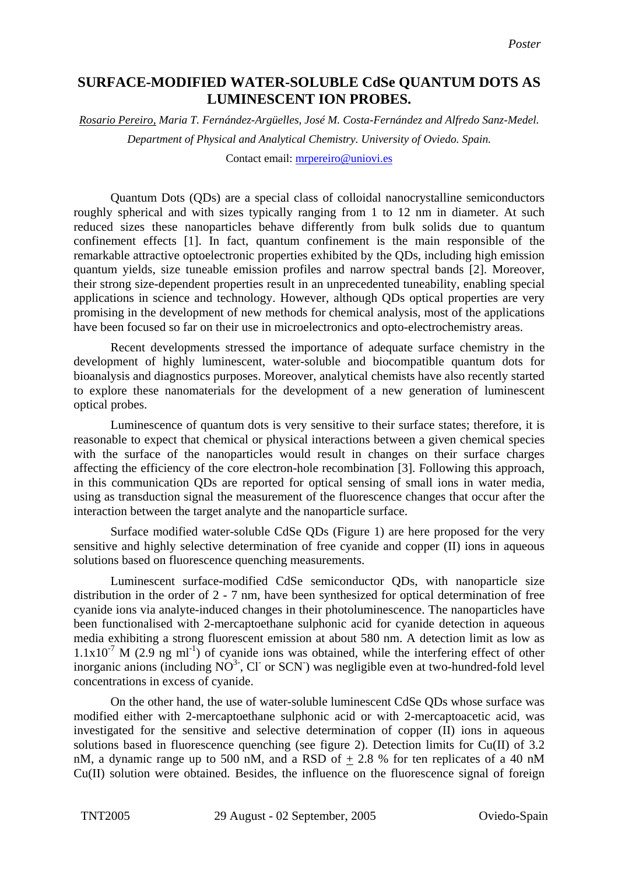## **SURFACE-MODIFIED WATER-SOLUBLE CdSe QUANTUM DOTS AS LUMINESCENT ION PROBES.**

*Rosario Pereiro, Maria T. Fernández-Argüelles, José M. Costa-Fernández and Alfredo Sanz-Medel.*

*Department of Physical and Analytical Chemistry. University of Oviedo. Spain.* 

Contact email: [mrpereiro@uniovi.es](mailto:mrpereiro@uniovi.es)

Quantum Dots (QDs) are a special class of colloidal nanocrystalline semiconductors roughly spherical and with sizes typically ranging from 1 to 12 nm in diameter. At such reduced sizes these nanoparticles behave differently from bulk solids due to quantum confinement effects [[1\]](#page-1-0). In fact, quantum confinement is the main responsible of the remarkable attractive optoelectronic properties exhibited by the QDs, including high emission quantum yields, size tuneable emission profiles and narrow spectral bands [[2\]](#page-1-1). Moreover, their strong size-dependent properties result in an unprecedented tuneability, enabling special applications in science and technology. However, although QDs optical properties are very promising in the development of new methods for chemical analysis, most of the applications have been focused so far on their use in microelectronics and opto-electrochemistry areas.

Recent developments stressed the importance of adequate surface chemistry in the development of highly luminescent, water-soluble and biocompatible quantum dots for bioanalysis and diagnostics purposes. Moreover, analytical chemists have also recently started to explore these nanomaterials for the development of a new generation of luminescent optical probes.

Luminescence of quantum dots is very sensitive to their surface states; therefore, it is reasonable to expect that chemical or physical interactions between a given chemical species with the surface of the nanoparticles would result in changes on their surface charges affecting the efficiency of the core electron-hole recombination [[3\]](#page-1-2). Following this approach, in this communication QDs are reported for optical sensing of small ions in water media, using as transduction signal the measurement of the fluorescence changes that occur after the interaction between the target analyte and the nanoparticle surface.

Surface modified water-soluble CdSe QDs (Figure 1) are here proposed for the very sensitive and highly selective determination of free cyanide and copper (II) ions in aqueous solutions based on fluorescence quenching measurements.

Luminescent surface-modified CdSe semiconductor QDs, with nanoparticle size distribution in the order of 2 - 7 nm, have been synthesized for optical determination of free cyanide ions via analyte-induced changes in their photoluminescence. The nanoparticles have been functionalised with 2-mercaptoethane sulphonic acid for cyanide detection in aqueous media exhibiting a strong fluorescent emission at about 580 nm. A detection limit as low as  $1.1x10<sup>-7</sup>$  M (2.9 ng ml<sup>-1</sup>) of cyanide ions was obtained, while the interfering effect of other inorganic anions (including  $NO<sup>3</sup>$ , Cl or SCN) was negligible even at two-hundred-fold level concentrations in excess of cyanide.

On the other hand, the use of water-soluble luminescent CdSe QDs whose surface was modified either with 2-mercaptoethane sulphonic acid or with 2-mercaptoacetic acid, was investigated for the sensitive and selective determination of copper (II) ions in aqueous solutions based in fluorescence quenching (see figure 2). Detection limits for Cu(II) of 3.2 nM, a dynamic range up to 500 nM, and a RSD of  $+ 2.8$  % for ten replicates of a 40 nM Cu(II) solution were obtained. Besides, the influence on the fluorescence signal of foreign